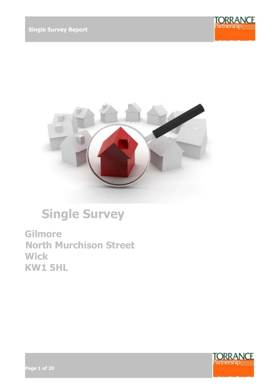



# **Single Survey**

**Gilmore North Murchison Street Wick KW1 5HL**



**Page 1 of 20**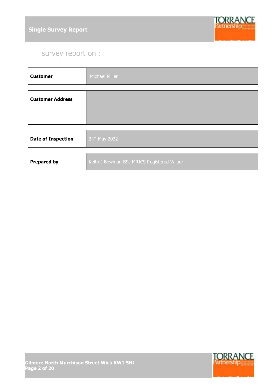

# survey report on :

| <b>Customer</b>           | <b>Michael Miller</b>                      |
|---------------------------|--------------------------------------------|
|                           |                                            |
| <b>Customer Address</b>   |                                            |
|                           |                                            |
|                           |                                            |
| <b>Date of Inspection</b> | 24th May 2022                              |
|                           |                                            |
| <b>Prepared by</b>        | Keith J Bowman BSc MRICS Registered Valuer |

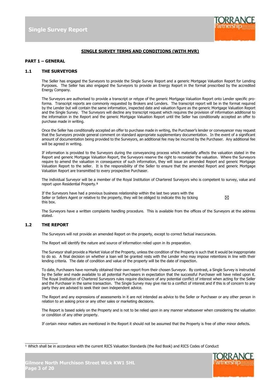

#### **SINGLE SURVEY TERMS AND CONDITIONS (WITH MVR)**

#### **PART 1 – GENERAL**

#### **1.1 THE SURVEYORS**

The Seller has engaged the Surveyors to provide the Single Survey Report and a generic Mortgage Valuation Report for Lending Purposes. The Seller has also engaged the Surveyors to provide an Energy Report in the format prescribed by the accredited Energy Company.

The Surveyors are authorised to provide a transcript or retype of the generic Mortgage Valuation Report onto Lender specific proforma. Transcript reports are commonly requested by Brokers and Lenders. The transcript report will be in the format required by the Lender but will contain the same information, inspected date and valuation figure as the generic Mortgage Valuation Report and the Single Survey. The Surveyors will decline any transcript request which requires the provision of information additional to the information in the Report and the generic Mortgage Valuation Report until the Seller has conditionally accepted an offer to purchase made in writing.

Once the Seller has conditionally accepted an offer to purchase made in writing, the Purchaser's lender or conveyancer may request that the Surveyors provide general comment on standard appropriate supplementary documentation. In the event of a significant amount of documentation being provided to the Surveyors, an additional fee may be incurred by the Purchaser. Any additional fee will be agreed in writing.

If information is provided to the Surveyors during the conveyancing process which materially affects the valuation stated in the Report and generic Mortgage Valuation Report, the Surveyors reserve the right to reconsider the valuation. Where the Surveyors require to amend the valuation in consequence of such information, they will issue an amended Report and generic Mortgage Valuation Report to the seller. It is the responsibility of the Seller to ensure that the amended Report and generic Mortgage Valuation Report are transmitted to every prospective Purchaser.

The individual Surveyor will be a member of the Royal Institution of Chartered Surveyors who is competent to survey, value and report upon Residential Property.**¹**

If the Surveyors have had a previous business relationship within the last two years with the Seller or Sellers Agent or relative to the property, they will be obliged to indicate this by ticking this box.

 $\boxtimes$ 

The Surveyors have a written complaints handling procedure. This is available from the offices of the Surveyors at the address stated.

#### **1.2 THE REPORT**

 $\mathcal{L}$  and  $\mathcal{L}$  and  $\mathcal{L}$ 

The Surveyors will not provide an amended Report on the property, except to correct factual inaccuracies.

The Report will identify the nature and source of information relied upon in its preparation.

The Surveyor shall provide a Market Value of the Property, unless the condition of the Property is such that it would be inappropriate to do so. A final decision on whether a loan will be granted rests with the Lender who may impose retentions in line with their lending criteria. The date of condition and value of the property will be the date of inspection.

To date, Purchasers have normally obtained their own report from their chosen Surveyor. By contrast, a Single Survey is instructed by the Seller and made available to all potential Purchasers in expectation that the successful Purchaser will have relied upon it. The Royal Institution of Chartered Surveyors rules require disclosure of any potential conflict of interest when acting for the Seller and the Purchaser in the same transaction. The Single Survey may give rise to a conflict of interest and if this is of concern to any party they are advised to seek their own independent advice.

The Report and any expressions of assessments in it are not intended as advice to the Seller or Purchaser or any other person in relation to an asking price or any other sales or marketing decisions.

The Report is based solely on the Property and is not to be relied upon in any manner whatsoever when considering the valuation or condition of any other property.

If certain minor matters are mentioned in the Report it should not be assumed that the Property is free of other minor defects.

<sup>1</sup> Which shall be in accordance with the current RICS Valuation Standards (the Red Book) and RICS Codes of Conduct

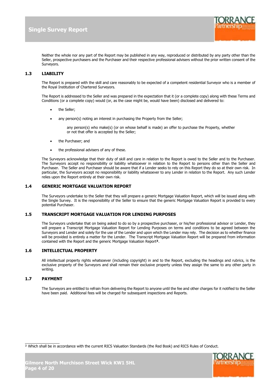

Neither the whole nor any part of the Report may be published in any way, reproduced or distributed by any party other than the Seller, prospective purchasers and the Purchaser and their respective professional advisers without the prior written consent of the Surveyors.

#### **1.3 LIABILITY**

The Report is prepared with the skill and care reasonably to be expected of a competent residential Surveyor who is a member of the Royal Institution of Chartered Surveyors.

The Report is addressed to the Seller and was prepared in the expectation that it (or a complete copy) along with these Terms and Conditions (or a complete copy) would (or, as the case might be, would have been) disclosed and delivered to:

- the Seller;
- any person(s) noting an interest in purchasing the Property from the Seller;

any person(s) who make(s) (or on whose behalf is made) an offer to purchase the Property, whether or not that offer is accepted by the Seller;

- the Purchaser; and
- the professional advisers of any of these.

The Surveyors acknowledge that their duty of skill and care in relation to the Report is owed to the Seller and to the Purchaser. The Surveyors accept no responsibility or liability whatsoever in relation to the Report to persons other than the Seller and Purchaser. The Seller and Purchaser should be aware that if a Lender seeks to rely on this Report they do so at their own risk. In particular, the Surveyors accept no responsibility or liability whatsoever to any Lender in relation to the Report. Any such Lender relies upon the Report entirely at their own risk.

#### **1.4 GENERIC MORTGAGE VALUATION REPORT**

The Surveyors undertake to the Seller that they will prepare a generic Mortgage Valuation Report, which will be issued along with the Single Survey. It is the responsibility of the Seller to ensure that the generic Mortgage Valuation Report is provided to every potential Purchaser.

#### **1.5 TRANSCRIPT MORTGAGE VALUATION FOR LENDING PURPOSES**

The Surveyors undertake that on being asked to do so by a prospective purchaser, or his/her professional advisor or Lender, they will prepare a Transcript Mortgage Valuation Report for Lending Purposes on terms and conditions to be agreed between the Surveyors and Lender and solely for the use of the Lender and upon which the Lender may rely. The decision as to whether finance will be provided is entirely a matter for the Lender. The Transcript Mortgage Valuation Report will be prepared from information contained with the Report and the generic Mortgage Valuation Report**²**.

#### **1.6 INTELLECTUAL PROPERTY**

All intellectual property rights whatsoever (including copyright) in and to the Report, excluding the headings and rubrics, is the exclusive property of the Surveyors and shall remain their exclusive property unless they assign the same to any other party in writing.

#### **1.7 PAYMENT**

The Surveyors are entitled to refrain from delivering the Report to anyone until the fee and other charges for it notified to the Seller have been paid. Additional fees will be charged for subsequent inspections and Reports.

<sup>2</sup> Which shall be in accordance with the current RICS Valuation Standards (the Red Book) and RICS Rules of Conduct.

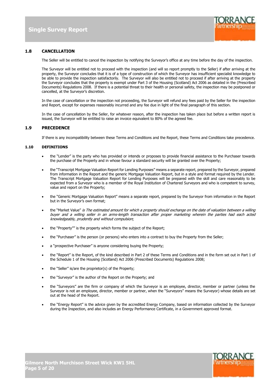

#### **1.8 CANCELLATION**

The Seller will be entitled to cancel the inspection by notifying the Surveyor's office at any time before the day of the inspection.

The Surveyor will be entitled not to proceed with the inspection (and will so report promptly to the Seller) if after arriving at the property, the Surveyor concludes that it is of a type of construction of which the Surveyor has insufficient specialist knowledge to be able to provide the inspection satisfactorily. The Surveyor will also be entitled not to proceed if after arriving at the property the Surveyor concludes that the property is exempt under Part 3 of the Housing (Scotland) Act 2006 as detailed in the (Prescribed Documents) Regulations 2008. If there is a potential threat to their health or personal safety, the inspection may be postponed or cancelled, at the Surveyor's discretion.

In the case of cancellation or the inspection not proceeding, the Surveyor will refund any fees paid by the Seller for the inspection and Report, except for expenses reasonably incurred and any fee due in light of the final paragraph of this section.

In the case of cancellation by the Seller, for whatever reason, after the inspection has taken place but before a written report is issued, the Surveyor will be entitled to raise an invoice equivalent to 80% of the agreed fee.

#### **1.9 PRECEDENCE**

If there is any incompatibility between these Terms and Conditions and the Report, these Terms and Conditions take precedence.

#### **1.10 DEFINITIONS**

- the "Lender" is the party who has provided or intends or proposes to provide financial assistance to the Purchaser towards the purchase of the Property and in whose favour a standard security will be granted over the Property;
- the "Transcript Mortgage Valuation Report for Lending Purposes" means a separate report, prepared by the Surveyor, prepared from information in the Report and the generic Mortgage Valuation Report, but in a style and format required by the Lender. The Transcript Mortgage Valuation Report for Lending Purposes will be prepared with the skill and care reasonably to be expected from a Surveyor who is a member of the Royal Institution of Chartered Surveyors and who is competent to survey, value and report on the Property;
- the "Generic Mortgage Valuation Report" means a separate report, prepared by the Surveyor from information in the Report but in the Surveyor's own format;
- the "Market Value" is The estimated amount for which a property should exchange on the date of valuation between a willing buyer and a willing seller in an arms-length transaction after proper marketing wherein the parties had each acted knowledgeably, prudently and without compulsion;
- the "Property"" is the property which forms the subject of the Report;
- the "Purchaser" is the person (or persons) who enters into a contract to buy the Property from the Seller;
- a "prospective Purchaser" is anyone considering buying the Property;
- the "Report" is the Report, of the kind described in Part 2 of these Terms and Conditions and in the form set out in Part 1 of the Schedule 1 of the Housing (Scotland) Act 2006 (Prescribed Documents) Regulations 2008;
- the "Seller" is/are the proprietor(s) of the Property;
- the "Surveyor" is the author of the Report on the Property; and
- the "Surveyors" are the firm or company of which the Surveyor is an employee, director, member or partner (unless the Surveyor is not an employee, director, member or partner, when the "Surveyors" means the Surveyor) whose details are set out at the head of the Report.
- the "Energy Report" is the advice given by the accredited Energy Company, based on information collected by the Surveyor during the Inspection, and also includes an Energy Performance Certificate, in a Government approved format.

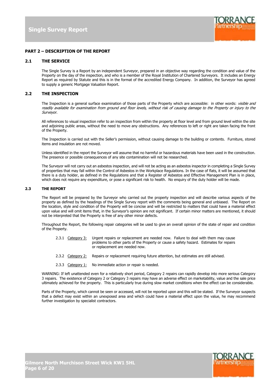

#### **PART 2 – DESCRIPTION OF THE REPORT**

#### **2.1 THE SERVICE**

The Single Survey is a Report by an independent Surveyor, prepared in an objective way regarding the condition and value of the Property on the day of the inspection, and who is a member of the Royal Institution of Chartered Surveyors. It includes an Energy Report as required by Statute and this is in the format of the accredited Energy Company. In addition, the Surveyor has agreed to supply a generic Mortgage Valuation Report.

#### **2.2 THE INSPECTION**

The Inspection is a general surface examination of those parts of the Property which are accessible: in other words: visible and readily available for examination from ground and floor levels, without risk of causing damage to the Property or injury to the Surveyor.

All references to visual inspection refer to an inspection from within the property at floor level and from ground level within the site and adjoining public areas, without the need to move any obstructions. Any references to left or right are taken facing the front of the Property.

The Inspection is carried out with the Seller's permission, without causing damage to the building or contents. Furniture, stored items and insulation are not moved.

Unless identified in the report the Surveyor will assume that no harmful or hazardous materials have been used in the construction. The presence or possible consequences of any site contamination will not be researched.

The Surveyor will not carry out an asbestos inspection, and will not be acting as an asbestos inspector in completing a Single Survey of properties that may fall within the Control of Asbestos in the Workplace Regulations. In the case of flats, it will be assumed that there is a duty holder, as defined in the Regulations and that a Register of Asbestos and Effective Management Plan is in place, which does not require any expenditure, or pose a significant risk to health. No enquiry of the duty holder will be made.

#### **2.3 THE REPORT**

The Report will be prepared by the Surveyor who carried out the property inspection and will describe various aspects of the property as defined by the headings of the Single Survey report with the comments being general and unbiased. The Report on the location, style and condition of the Property will be concise and will be restricted to matters that could have a material effect upon value and will omit items that, in the Surveyor's opinion are not significant. If certain minor matters are mentioned, it should not be interpreted that the Property is free of any other minor defects.

Throughout the Report, the following repair categories will be used to give an overall opinion of the state of repair and condition of the Property.

- 2.3.1 Category 3: Urgent repairs or replacement are needed now. Failure to deal with them may cause problems to other parts of the Property or cause a safety hazard. Estimates for repairs or replacement are needed now.
- 2.3.2 Category 2: Repairs or replacement requiring future attention, but estimates are still advised.
- 2.3.3 Category  $1$ : No immediate action or repair is needed.

WARNING: If left unattended even for a relatively short period, Category 2 repairs can rapidly develop into more serious Category 3 repairs. The existence of Category 2 or Category 3 repairs may have an adverse effect on marketability, value and the sale price ultimately achieved for the property. This is particularly true during slow market conditions when the effect can be considerable.

Parts of the Property, which cannot be seen or accessed, will not be reported upon and this will be stated. If the Surveyor suspects that a defect may exist within an unexposed area and which could have a material effect upon the value, he may recommend further investigation by specialist contractors.

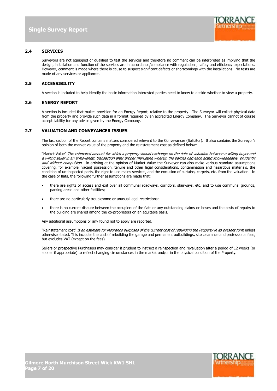

#### **2.4 SERVICES**

Surveyors are not equipped or qualified to test the services and therefore no comment can be interpreted as implying that the design, installation and function of the services are in accordance/compliance with regulations, safety and efficiency expectations. However, comment is made where there is cause to suspect significant defects or shortcomings with the installations. No tests are made of any services or appliances.

#### **2.5 ACCESSIBILITY**

A section is included to help identify the basic information interested parties need to know to decide whether to view a property.

#### **2.6 ENERGY REPORT**

A section is included that makes provision for an Energy Report, relative to the property. The Surveyor will collect physical data from the property and provide such data in a format required by an accredited Energy Company. The Surveyor cannot of course accept liability for any advice given by the Energy Company.

#### **2.7 VALUATION AND CONVEYANCER ISSUES**

The last section of the Report contains matters considered relevant to the Conveyancer (Solicitor). It also contains the Surveyor's opinion of both the market value of the property and the reinstatement cost as defined below:

"Market Value" The estimated amount for which a property should exchange on the date of valuation between a willing buyer and a willing seller in an arms-length transaction after proper marketing wherein the parties had each acted knowledgeably, prudently and without compulsion. In arriving at the opinion of Market Value the Surveyor can also make various standard assumptions covering, for example, vacant possession, tenure and other legal considerations, contamination and hazardous materials, the condition of un-inspected parts, the right to use mains services, and the exclusion of curtains, carpets, etc. from the valuation. In the case of flats, the following further assumptions are made that:

- there are rights of access and exit over all communal roadways, corridors, stairways, etc. and to use communal grounds, parking areas and other facilities;
- there are no particularly troublesome or unusual legal restrictions;
- there is no current dispute between the occupiers of the flats or any outstanding claims or losses and the costs of repairs to the building are shared among the co-proprietors on an equitable basis.

Any additional assumptions or any found not to apply are reported.

"Reinstatement cost" is an estimate for insurance purposes of the current cost of rebuilding the Property in its present form unless otherwise stated. This includes the cost of rebuilding the garage and permanent outbuildings, site clearance and professional fees, but excludes VAT (except on the fees).

Sellers or prospective Purchasers may consider it prudent to instruct a reinspection and revaluation after a period of 12 weeks (or sooner if appropriate) to reflect changing circumstances in the market and/or in the physical condition of the Property.

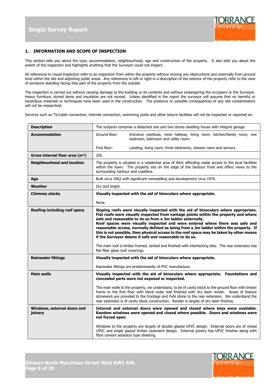

#### **1. INFORMATION AND SCOPE OF INSPECTION**

This section tells you about the type, accommodation, neighbourhood, age and construction of the property. It also tells you about the extent of the inspection and highlights anything that the Surveyor could not inspect.

All references to visual inspection refer to an inspection from within the property without moving any obstructions and externally from ground level within the site and adjoining public areas. Any references to left or right in a description of the exterior of the property refer to the view of someone standing facing that part of the property from the outside.

The inspection is carried out without causing damage to the building or its contents and without endangering the occupiers or the Surveyor. Heavy furniture, stored items and insulation are not moved. Unless identified in the report the surveyor will assume that no harmful or hazardous materials or techniques have been used in the construction. The presence or possible consequences of any site contamination will not be researched.

Services such as TV/cable connection, internet connection, swimming pools and other leisure facilities will not be inspected or reported on.

| <b>Description</b>                          | The subjects comprise a detached one and two storey dwelling house with integral garage.                                                                                                                                                                                                                                                                                                                                                                                                                                                                                                                                                                                                                            |  |
|---------------------------------------------|---------------------------------------------------------------------------------------------------------------------------------------------------------------------------------------------------------------------------------------------------------------------------------------------------------------------------------------------------------------------------------------------------------------------------------------------------------------------------------------------------------------------------------------------------------------------------------------------------------------------------------------------------------------------------------------------------------------------|--|
| <b>Accommodation</b>                        | Ground floor:<br>Entrance vestibule, inner hallway, living room, kitchen/family room, one<br>bedroom, bathroom and utility room.                                                                                                                                                                                                                                                                                                                                                                                                                                                                                                                                                                                    |  |
|                                             | First floor:<br>Landing, living room, three bedrooms, shower room and servery.                                                                                                                                                                                                                                                                                                                                                                                                                                                                                                                                                                                                                                      |  |
| Gross internal floor area (m <sup>2</sup> ) | 205.                                                                                                                                                                                                                                                                                                                                                                                                                                                                                                                                                                                                                                                                                                                |  |
| <b>Neighbourhood and location</b>           | The property is situated in a residential area of Wick affording ready access to the local facilities<br>within the town. The property sits on the edge of the harbour front and offers views to the<br>surrounding harbour and coastline.                                                                                                                                                                                                                                                                                                                                                                                                                                                                          |  |
| Age                                         | Built circa 1962 with significant remodelling and development circa 1976.                                                                                                                                                                                                                                                                                                                                                                                                                                                                                                                                                                                                                                           |  |
| Weather                                     | Dry and bright.                                                                                                                                                                                                                                                                                                                                                                                                                                                                                                                                                                                                                                                                                                     |  |
| <b>Chimney stacks</b>                       | Visually inspected with the aid of binoculars where appropriate.                                                                                                                                                                                                                                                                                                                                                                                                                                                                                                                                                                                                                                                    |  |
|                                             | None.                                                                                                                                                                                                                                                                                                                                                                                                                                                                                                                                                                                                                                                                                                               |  |
| Roofing including roof space                | Sloping roofs were visually inspected with the aid of binoculars where appropriate.<br>Flat roofs were visually inspected from vantage points within the property and where<br>safe and reasonable to do so from a 3m ladder externally.<br>Roof spaces were visually inspected and were entered where there was safe and<br>reasonable access, normally defined as being from a 3m ladder within the property. If<br>this is not possible, then physical access to the roof space may be taken by other means<br>if the Surveyor deems it safe and reasonable to do so.<br>The main roof is timber framed, sarked and finished with interlocking tiles. The rear extension has<br>flat fiber glass roof coverings. |  |
| <b>Rainwater fittings</b>                   | Visually inspected with the aid of binoculars where appropriate.                                                                                                                                                                                                                                                                                                                                                                                                                                                                                                                                                                                                                                                    |  |
|                                             | Rainwater fittings are predominantly of PVC manufacture.                                                                                                                                                                                                                                                                                                                                                                                                                                                                                                                                                                                                                                                            |  |
| <b>Main walls</b>                           | Visually inspected with the aid of binoculars where appropriate. Foundations and<br>concealed parts were not exposed or inspected.<br>The main walls to the property, we understand, to be of cavity block to the ground floor with timber<br>frame to the first floor with block outer leaf finished with dry dash render. Areas of feature<br>stonework are provided to the frontage and Fyfe stone to the rear extension. We understand the<br>rear extension is of cavity block construction. Render is largely of dry dash finishes.                                                                                                                                                                           |  |
| Windows, external doors and<br>joinery      | Internal and external doors were opened and closed where keys were available.<br>Random windows were opened and closed where possible. Doors and windows were<br>not forced open.<br>Windows to the property are largely of double glazed UPVC design. External doors are of mixed                                                                                                                                                                                                                                                                                                                                                                                                                                  |  |
|                                             | UPVC and single glazed timber casement design. External joinery has UPVC finishes along with<br>fibre cement asbestos type sheeting.                                                                                                                                                                                                                                                                                                                                                                                                                                                                                                                                                                                |  |

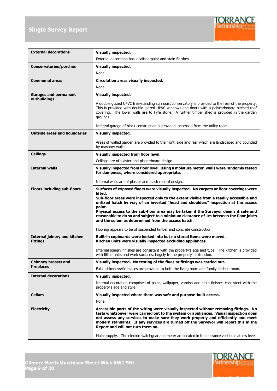

| <b>External decorations</b>                     | <b>Visually inspected.</b>                                                                                                                                                                                                                                                                                                                                                                                                                                                                                                         |
|-------------------------------------------------|------------------------------------------------------------------------------------------------------------------------------------------------------------------------------------------------------------------------------------------------------------------------------------------------------------------------------------------------------------------------------------------------------------------------------------------------------------------------------------------------------------------------------------|
|                                                 | External decoration has localised paint and stain finishes.                                                                                                                                                                                                                                                                                                                                                                                                                                                                        |
| <b>Conservatories/porches</b>                   | <b>Visually inspected.</b>                                                                                                                                                                                                                                                                                                                                                                                                                                                                                                         |
|                                                 | None.                                                                                                                                                                                                                                                                                                                                                                                                                                                                                                                              |
| <b>Communal areas</b>                           | Circulation areas visually inspected.                                                                                                                                                                                                                                                                                                                                                                                                                                                                                              |
|                                                 | None.                                                                                                                                                                                                                                                                                                                                                                                                                                                                                                                              |
| <b>Garages and permanent</b><br>outbuildings    | <b>Visually inspected.</b>                                                                                                                                                                                                                                                                                                                                                                                                                                                                                                         |
|                                                 | A double glazed UPVC free-standing sunroom/conservatory is provided to the rear of the property.<br>This is provided with double glazed UPVC windows and doors with a polycarbonate pitched roof<br>covering. The lower walls are to Fyfe stone. A further timber shed is provided in the garden<br>grounds.                                                                                                                                                                                                                       |
|                                                 | Integral garage of block construction is provided, accessed from the utility room.                                                                                                                                                                                                                                                                                                                                                                                                                                                 |
| <b>Outside areas and boundaries</b>             | <b>Visually inspected.</b>                                                                                                                                                                                                                                                                                                                                                                                                                                                                                                         |
|                                                 | Areas of walled garden are provided to the front, side and rear which are landscaped and bounded<br>by masonry walls.                                                                                                                                                                                                                                                                                                                                                                                                              |
| <b>Ceilings</b>                                 | Visually inspected from floor level.                                                                                                                                                                                                                                                                                                                                                                                                                                                                                               |
|                                                 | Ceilings are of plaster and plasterboard design.                                                                                                                                                                                                                                                                                                                                                                                                                                                                                   |
| <b>Internal walls</b>                           | Visually inspected from floor level. Using a moisture meter, walls were randomly tested<br>for dampness, where considered appropriate.<br>Internal walls are of plaster and plasterboard design.                                                                                                                                                                                                                                                                                                                                   |
| <b>Floors including sub-floors</b>              | Surfaces of exposed floors were visually inspected. No carpets or floor coverings were<br>lifted.<br>Sub-floor areas were inspected only to the extent visible from a readily accessible and<br>unfixed hatch by way of an inverted "head and shoulders" inspection at the access<br>point.<br>Physical access to the sub-floor area may be taken if the Surveyor deems it safe and<br>reasonable to do so and subject to a minimum clearance of 1m between the floor joists<br>and the solum as determined from the access hatch. |
|                                                 | Flooring appears to be of suspended timber and concrete construction.                                                                                                                                                                                                                                                                                                                                                                                                                                                              |
| <b>Internal joinery and kitchen</b><br>fittings | Built-in cupboards were looked into but no stored items were moved.<br>Kitchen units were visually inspected excluding appliances.                                                                                                                                                                                                                                                                                                                                                                                                 |
|                                                 | Internal joinery finishes are consistent with the property's age and type. The kitchen is provided<br>with fitted units and work surfaces, largely to the property's extension.                                                                                                                                                                                                                                                                                                                                                    |
| <b>Chimney breasts and</b>                      | Visually inspected. No testing of the flues or fittings was carried out.                                                                                                                                                                                                                                                                                                                                                                                                                                                           |
| fireplaces                                      | False chimneys/fireplaces are provided to both the living room and family kitchen room.                                                                                                                                                                                                                                                                                                                                                                                                                                            |
| <b>Internal decorations</b>                     | <b>Visually inspected.</b>                                                                                                                                                                                                                                                                                                                                                                                                                                                                                                         |
|                                                 | Internal decoration comprises of paint, wallpaper, varnish and stain finishes consistent with the<br>property's age and style.                                                                                                                                                                                                                                                                                                                                                                                                     |
| <b>Cellars</b>                                  | Visually inspected where there was safe and purpose-built access.                                                                                                                                                                                                                                                                                                                                                                                                                                                                  |
|                                                 | None.                                                                                                                                                                                                                                                                                                                                                                                                                                                                                                                              |
| <b>Electricity</b>                              | Accessible parts of the wiring were visually inspected without removing fittings. No<br>tests whatsoever were carried out to the system or appliances. Visual inspection does<br>not assess any services to make sure they work properly and efficiently and meet<br>modern standards. If any services are turned off the Surveyor will report this in the<br>Report and will not turn them on.                                                                                                                                    |
|                                                 | Mains supply. The electric switchgear and meter are located in the entrance vestibule at low level.                                                                                                                                                                                                                                                                                                                                                                                                                                |

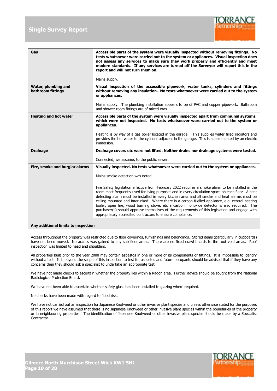

| Gas                            | Accessible parts of the system were visually inspected without removing fittings. No<br>tests whatsoever were carried out to the system or appliances. Visual inspection does<br>not assess any services to make sure they work properly and efficiently and meet<br>modern standards. If any services are turned off the Surveyor will report this in the<br>report and will not turn them on.<br>Mains supply.                                                                                                                                                                                                                                                              |
|--------------------------------|-------------------------------------------------------------------------------------------------------------------------------------------------------------------------------------------------------------------------------------------------------------------------------------------------------------------------------------------------------------------------------------------------------------------------------------------------------------------------------------------------------------------------------------------------------------------------------------------------------------------------------------------------------------------------------|
| Water, plumbing and            | Visual inspection of the accessible pipework, water tanks, cylinders and fittings                                                                                                                                                                                                                                                                                                                                                                                                                                                                                                                                                                                             |
| bathroom fittings              | without removing any insulation. No tests whatsoever were carried out to the system<br>or appliances.                                                                                                                                                                                                                                                                                                                                                                                                                                                                                                                                                                         |
|                                | Mains supply. The plumbing installation appears to be of PVC and copper pipework. Bathroom<br>and shower room fittings are of mixed eras.                                                                                                                                                                                                                                                                                                                                                                                                                                                                                                                                     |
| <b>Heating and hot water</b>   | Accessible parts of the system were visually inspected apart from communal systems,<br>which were not inspected. No tests whatsoever were carried out to the system or<br>appliances.                                                                                                                                                                                                                                                                                                                                                                                                                                                                                         |
|                                | Heating is by way of a gas boiler located in the garage.  This supplies water filled radiators and<br>provides the hot water to the cylinder adjacent in the garage. This is supplemented by an electric<br>immersion.                                                                                                                                                                                                                                                                                                                                                                                                                                                        |
| <b>Drainage</b>                | Drainage covers etc were not lifted. Neither drains nor drainage systems were tested.                                                                                                                                                                                                                                                                                                                                                                                                                                                                                                                                                                                         |
|                                | Connected, we assume, to the public sewer.                                                                                                                                                                                                                                                                                                                                                                                                                                                                                                                                                                                                                                    |
| Fire, smoke and burglar alarms | Visually inspected. No tests whatsoever were carried out to the system or appliances.                                                                                                                                                                                                                                                                                                                                                                                                                                                                                                                                                                                         |
|                                | Mains smoke detection was noted.                                                                                                                                                                                                                                                                                                                                                                                                                                                                                                                                                                                                                                              |
|                                | Fire Safety legislation effective from February 2022 requires a smoke alarm to be installed in the<br>room most frequently used for living purposes and in every circulation space on each floor. A heat<br>detecting alarm must be installed in every kitchen area and all smoke and heat alarms must be<br>ceiling mounted and interlinked. Where there is a carbon-fuelled appliance, e.g. central heating<br>boiler, open fire, wood burning stove, etc a carbon monoxide detector is also required. The<br>purchaser(s) should appraise themselves of the requirements of this legislation and engage with<br>appropriately accredited contractors to ensure compliance. |

#### **Any additional limits to inspection**

Access throughout the property was restricted due to floor coverings, furnishings and belongings. Stored items (particularly in cupboards) have not been moved. No access was gained to any sub floor areas. There are no fixed crawl boards to the roof void areas. Roof inspection was limited to head and shoulders.

All properties built prior to the year 2000 may contain asbestos in one or more of its components or fittings. It is impossible to identify without a test. It is beyond the scope of this inspection to test for asbestos and future occupants should be advised that if they have any concerns then they should ask a specialist to undertake an appropriate test.

We have not made checks to ascertain whether the property lies within a Radon area. Further advice should be sought from the National Radiological Protection Board.

We have not been able to ascertain whether safety glass has been installed to glazing where required.

No checks have been made with regard to flood risk.

We have not carried out an inspection for Japanese Knotweed or other invasive plant species and unless otherwise stated for the purposes of this report we have assumed that there is no Japanese Knotweed or other invasive plant species within the boundaries of the property or in neighbouring properties. The identification of Japanese Knotweed or other invasive plant species should be made by a Specialist Contractor.

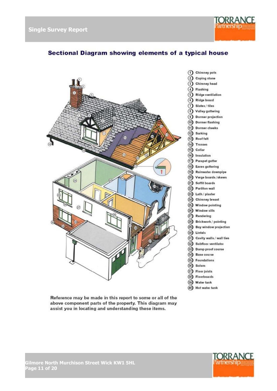

# Sectional Diagram showing elements of a typical house



Reference may be made in this report to some or all of the above component parts of the property. This diagram may assist you in locating and understanding these items.



<sup>(40)</sup> Hot water tank

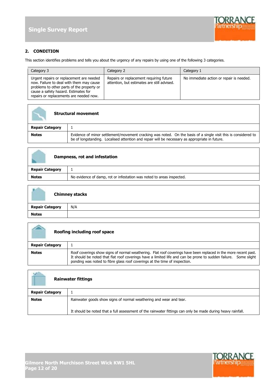

#### **2. CONDITION**

This section identifies problems and tells you about the urgency of any repairs by using one of the following 3 categories.

| Category 3                                                                                                                                                                                                            | Category 2                                                                             | Category 1                               |
|-----------------------------------------------------------------------------------------------------------------------------------------------------------------------------------------------------------------------|----------------------------------------------------------------------------------------|------------------------------------------|
| Urgent repairs or replacement are needed<br>now. Failure to deal with them may cause<br>problems to other parts of the property or<br>cause a safety hazard. Estimates for<br>repairs or replacements are needed now. | Repairs or replacement requiring future<br>attention, but estimates are still advised. | No immediate action or repair is needed. |

| <b>Structural movement</b> |                                                                                                                                                                                                                  |
|----------------------------|------------------------------------------------------------------------------------------------------------------------------------------------------------------------------------------------------------------|
| <b>Repair Category</b>     |                                                                                                                                                                                                                  |
| <b>Notes</b>               | Evidence of minor settlement/movement cracking was noted. On the basis of a single visit this is considered to<br>be of longstanding. Localised attention and repair will be necessary as appropriate in future. |

| Dampness, rot and infestation |                                                                       |
|-------------------------------|-----------------------------------------------------------------------|
| <b>Repair Category</b>        |                                                                       |
| <b>Notes</b>                  | No evidence of damp, rot or infestation was noted to areas inspected. |

|                        | <b>Chimney stacks</b> |
|------------------------|-----------------------|
| <b>Repair Category</b> | N/A                   |
| <b>Notes</b>           |                       |

| Roofing including roof space |                                                                                                                                                                                                                                                                                                                  |
|------------------------------|------------------------------------------------------------------------------------------------------------------------------------------------------------------------------------------------------------------------------------------------------------------------------------------------------------------|
| <b>Repair Category</b>       |                                                                                                                                                                                                                                                                                                                  |
| <b>Notes</b>                 | Roof coverings show signs of normal weathering. Flat roof coverings have been replaced in the more recent past.<br>It should be noted that flat roof coverings have a limited life and can be prone to sudden failure. Some slight<br>ponding was noted to fibre glass roof coverings at the time of inspection. |

| <b>Rainwater fittings</b> |                                                                                                                                                                                   |
|---------------------------|-----------------------------------------------------------------------------------------------------------------------------------------------------------------------------------|
| <b>Repair Category</b>    |                                                                                                                                                                                   |
| <b>Notes</b>              | Rainwater goods show signs of normal weathering and wear and tear.<br>It should be noted that a full assessment of the rainwater fittings can only be made during heavy rainfall. |



٦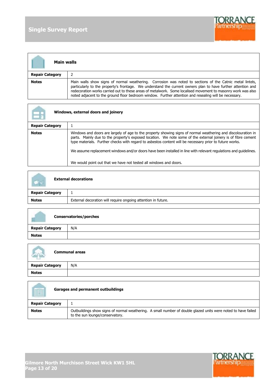F

Г



| Main walls             |                                                                                                                                                                                                                                                                                                                                                                                                                                                   |
|------------------------|---------------------------------------------------------------------------------------------------------------------------------------------------------------------------------------------------------------------------------------------------------------------------------------------------------------------------------------------------------------------------------------------------------------------------------------------------|
| <b>Repair Category</b> | 2                                                                                                                                                                                                                                                                                                                                                                                                                                                 |
| <b>Notes</b>           | Main walls show signs of normal weathering. Corrosion was noted to sections of the Catnic metal lintels,<br>particularly to the property's frontage. We understand the current owners plan to have further attention and<br>redecoration works carried out to these areas of metalwork. Some localised movement to masonry work was also<br>noted adjacent to the ground floor bedroom window. Further attention and resealing will be necessary. |

| Windows, external doors and joinery |                                                                                                                                                                                                                                                                                                                                                                                                                                                                                                                                    |
|-------------------------------------|------------------------------------------------------------------------------------------------------------------------------------------------------------------------------------------------------------------------------------------------------------------------------------------------------------------------------------------------------------------------------------------------------------------------------------------------------------------------------------------------------------------------------------|
| <b>Repair Category</b>              |                                                                                                                                                                                                                                                                                                                                                                                                                                                                                                                                    |
| <b>Notes</b>                        | Windows and doors are largely of age to the property showing signs of normal weathering and discolouration in<br>parts. Mainly due to the property's exposed location. We note some of the external joinery is of fibre cement<br>type materials. Further checks with regard to asbestos content will be necessary prior to future works.<br>We assume replacement windows and/or doors have been installed in line with relevant regulations and quidelines.<br>We would point out that we have not tested all windows and doors. |

| <b>External decorations</b> |                                                               |
|-----------------------------|---------------------------------------------------------------|
| <b>Repair Category</b>      |                                                               |
| <b>Notes</b>                | External decoration will require ongoing attention in future. |

| <b>Conservatories/porches</b> |     |
|-------------------------------|-----|
| <b>Repair Category</b>        | N/A |
| <b>Notes</b>                  |     |

| <b>Communal areas</b>  |     |
|------------------------|-----|
| <b>Repair Category</b> | N/A |
| <b>Notes</b>           |     |

| Garages and permanent outbuildings |                                                                                                                                                  |
|------------------------------------|--------------------------------------------------------------------------------------------------------------------------------------------------|
| <b>Repair Category</b>             |                                                                                                                                                  |
| <b>Notes</b>                       | Outbuildings show signs of normal weathering. A small number of double glazed units were noted to have failed<br>to the sun lounge/conservatory. |

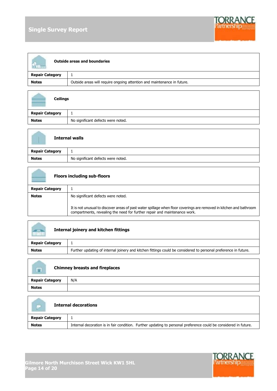# **Single Survey Report**



| <b>Outside areas and boundaries</b> |                                                                         |
|-------------------------------------|-------------------------------------------------------------------------|
| <b>Repair Category</b>              |                                                                         |
| <b>Notes</b>                        | Outside areas will require ongoing attention and maintenance in future. |

| <b>Ceilings</b>        |                                    |
|------------------------|------------------------------------|
| <b>Repair Category</b> | л.                                 |
| <b>Notes</b>           | No significant defects were noted. |

| <b>Internal walls</b>  |                                    |
|------------------------|------------------------------------|
| <b>Repair Category</b> | ÷.                                 |
| <b>Notes</b>           | No significant defects were noted. |

| <b>Floors including sub-floors</b> |                                                                                                                                                                                                  |
|------------------------------------|--------------------------------------------------------------------------------------------------------------------------------------------------------------------------------------------------|
| <b>Repair Category</b>             |                                                                                                                                                                                                  |
| <b>Notes</b>                       | No significant defects were noted.                                                                                                                                                               |
|                                    | It is not unusual to discover areas of past water spillage when floor coverings are removed in kitchen and bathroom<br>compartments, revealing the need for further repair and maintenance work. |

| $\overline{a}$<br><b>Internal joinery and kitchen fittings</b> |                                                                                                                 |
|----------------------------------------------------------------|-----------------------------------------------------------------------------------------------------------------|
| <b>Repair Category</b>                                         |                                                                                                                 |
| <b>Notes</b>                                                   | Further updating of internal joinery and kitchen fittings could be considered to personal preference in future. |

| <b>Chimney breasts and fireplaces</b><br>$\Box$ |     |
|-------------------------------------------------|-----|
| <b>Repair Category</b>                          | N/A |
| <b>Notes</b>                                    |     |

| <b>Internal decorations</b> |                                                                                                                  |
|-----------------------------|------------------------------------------------------------------------------------------------------------------|
| <b>Repair Category</b>      |                                                                                                                  |
| <b>Notes</b>                | Internal decoration is in fair condition. Further updating to personal preference could be considered in future. |



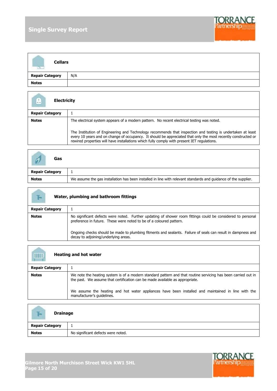# **Single Survey Report**



| <b>Cellars</b>         |     |
|------------------------|-----|
| <b>Repair Category</b> | N/A |
| <b>Notes</b>           |     |

| <b>Electricity</b><br>Ľ. |                                                                                                                                                                                                                                                                                                                              |
|--------------------------|------------------------------------------------------------------------------------------------------------------------------------------------------------------------------------------------------------------------------------------------------------------------------------------------------------------------------|
| <b>Repair Category</b>   |                                                                                                                                                                                                                                                                                                                              |
| <b>Notes</b>             | The electrical system appears of a modern pattern. No recent electrical testing was noted.                                                                                                                                                                                                                                   |
|                          | The Institution of Engineering and Technology recommends that inspection and testing is undertaken at least<br>every 10 years and on change of occupancy. It should be appreciated that only the most recently constructed or<br>rewired properties will have installations which fully comply with present IET regulations. |

| Gas                    |                                                                                                                 |
|------------------------|-----------------------------------------------------------------------------------------------------------------|
| <b>Repair Category</b> |                                                                                                                 |
| <b>Notes</b>           | We assume the gas installation has been installed in line with relevant standards and guidance of the supplier. |

| ī-<br>Water, plumbing and bathroom fittings |                                                                                                                                                                                    |  |  |  |
|---------------------------------------------|------------------------------------------------------------------------------------------------------------------------------------------------------------------------------------|--|--|--|
| <b>Repair Category</b>                      |                                                                                                                                                                                    |  |  |  |
| <b>Notes</b>                                | No significant defects were noted. Further updating of shower room fittings could be considered to personal<br>preference in future. These were noted to be of a coloured pattern. |  |  |  |
|                                             | Ongoing checks should be made to plumbing fitments and sealants. Failure of seals can result in dampness and<br>decay to adjoining/underlying areas.                               |  |  |  |

|                        | <b>Heating and hot water</b>                                                                                                                                                                  |
|------------------------|-----------------------------------------------------------------------------------------------------------------------------------------------------------------------------------------------|
| <b>Repair Category</b> |                                                                                                                                                                                               |
| <b>Notes</b>           | We note the heating system is of a modern standard pattern and that routine servicing has been carried out in<br>the past. We assume that certification can be made available as appropriate. |
|                        | We assume the heating and hot water appliances have been installed and maintained in line with the<br>manufacturer's quidelines.                                                              |

| F-<br><b>Drainage</b>  |                                    |
|------------------------|------------------------------------|
| <b>Repair Category</b> | ∸                                  |
| <b>Notes</b>           | No significant defects were noted. |

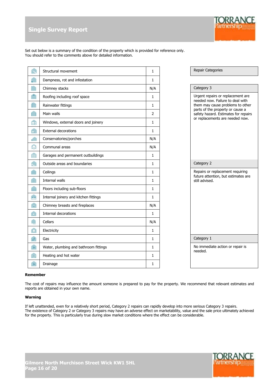

Set out below is a summary of the condition of the property which is provided for reference only. You should refer to the comments above for detailed information.

|                                       | Structural movement                   | 1            | Repair Categories                                                        |
|---------------------------------------|---------------------------------------|--------------|--------------------------------------------------------------------------|
|                                       | Dampness, rot and infestation         | 1            |                                                                          |
|                                       | Chimney stacks                        | N/A          | Category 3                                                               |
|                                       | Roofing including roof space          | 1            | Urgent repairs or replacement are                                        |
|                                       | Rainwater fittings                    | 1            | needed now. Failure to deal with<br>them may cause problems to other     |
|                                       | Main walls                            | 2            | parts of the property or cause a<br>safety hazard. Estimates for repairs |
| Ê                                     | Windows, external doors and joinery   | $\mathbf{1}$ | or replacements are needed now.                                          |
| $\bullet$                             | <b>External decorations</b>           | $\mathbf{1}$ |                                                                          |
|                                       | Conservatories/porches                | N/A          |                                                                          |
| $\Omega$                              | Communal areas                        | N/A          |                                                                          |
|                                       | Garages and permanent outbuildings    | $\mathbf{1}$ |                                                                          |
|                                       | Outside areas and boundaries          | 1            | Category 2                                                               |
|                                       | Ceilings                              | 1            | Repairs or replacement requiring<br>future attention, but estimates are  |
|                                       | Internal walls                        | 1            | still advised.                                                           |
|                                       | Floors including sub-floors           | 1            |                                                                          |
| $\overline{a}$                        | Internal joinery and kitchen fittings | 1            |                                                                          |
| $\sqrt{2}$                            | Chimney breasts and fireplaces        | N/A          |                                                                          |
| $\overline{P}$                        | Internal decorations                  | 1            |                                                                          |
|                                       | Cellars                               | N/A          |                                                                          |
| $\begin{array}{c} \hline \end{array}$ | Electricity                           | 1            |                                                                          |
| $\boldsymbol{\mathcal{J}}$            | Gas                                   | 1            | Category 1                                                               |
| $\mathbb{R}$                          | Water, plumbing and bathroom fittings | $\mathbf{1}$ | No immediate action or repair is<br>needed.                              |
| $\overline{\mathbb{H}}$               | Heating and hot water                 | 1            |                                                                          |
| $\mathbb{H}$                          | Drainage                              | 1            |                                                                          |

#### **Remember**

The cost of repairs may influence the amount someone is prepared to pay for the property. We recommend that relevant estimates and reports are obtained in your own name.

#### **Warning**

If left unattended, even for a relatively short period, Category 2 repairs can rapidly develop into more serious Category 3 repairs. The existence of Category 2 or Category 3 repairs may have an adverse effect on marketability, value and the sale price ultimately achieved for the property. This is particularly true during slow market conditions where the effect can be considerable.

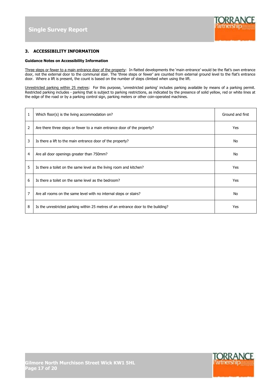

#### **3. ACCESSIBILITY INFORMATION**

#### **Guidance Notes on Accessibility Information**

Three steps or fewer to a main entrance door of the property: In flatted developments the 'main entrance' would be the flat's own entrance door, not the external door to the communal stair. The 'three steps or fewer' are counted from external ground level to the flat's entrance door. Where a lift is present, the count is based on the number of steps climbed when using the lift.

Unrestricted parking within 25 metres: For this purpose, 'unrestricted parking' includes parking available by means of a parking permit. Restricted parking includes - parking that is subject to parking restrictions, as indicated by the presence of solid yellow, red or white lines at the edge of the road or by a parking control sign, parking meters or other coin-operated machines.

| $\mathbf{1}$   | Which floor(s) is the living accommodation on?                                    | Ground and first |
|----------------|-----------------------------------------------------------------------------------|------------------|
| $\overline{2}$ | Are there three steps or fewer to a main entrance door of the property?           | Yes              |
| 3              | Is there a lift to the main entrance door of the property?                        | No               |
| $\overline{4}$ | Are all door openings greater than 750mm?                                         | No               |
| 5              | Is there a toilet on the same level as the living room and kitchen?               | Yes              |
| 6              | Is there a toilet on the same level as the bedroom?                               | Yes              |
| 7              | Are all rooms on the same level with no internal steps or stairs?                 | No               |
| 8              | Is the unrestricted parking within 25 metres of an entrance door to the building? | Yes              |

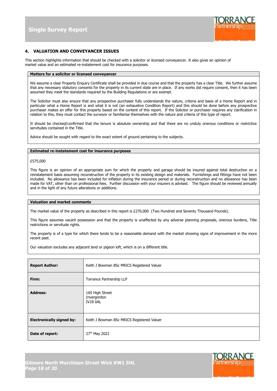

#### **4. VALUATION AND CONVEYANCER ISSUES**

This section highlights information that should be checked with a solicitor or licensed conveyancer. It also gives an opinion of market value and an estimated re-instatement cost for insurance purposes.

#### **Matters for a solicitor or licensed conveyancer**

We assume a clear Property Enquiry Certificate shall be provided in due course and that the property has a clear Title. We further assume that any necessary statutory consents for the property in its current state are in place. If any works did require consent, then it has been assumed they meet the standards required by the Building Regulations or are exempt.

The Solicitor must also ensure that any prospective purchaser fully understands the nature, criteria and basis of a Home Report and in particular what a Home Report is and what it is not (an exhaustive Condition Report) and this should be done before any prospective purchaser makes an offer for this property based on the content of this report. If the Solicitor or purchaser requires any clarification in relation to this, they must contact the surveyor or familiarise themselves with the nature and criteria of this type of report.

It should be checked/confirmed that the tenure is absolute ownership and that there are no unduly onerous conditions or restrictive servitudes contained in the Title.

Advice should be sought with regard to the exact extent of ground pertaining to the subjects.

#### **Estimated re-instatement cost for insurance purposes**

£575,000

This figure is an opinion of an appropriate sum for which the property and garage should be insured against total destruction on a reinstatement basis assuming reconstruction of the property in its existing design and materials. Furnishings and fittings have not been included. No allowance has been included for inflation during the insurance period or during reconstruction and no allowance has been made for VAT, other than on professional fees. Further discussion with your insurers is advised. The figure should be reviewed annually and in the light of any future alterations or additions.

#### **Valuation and market comments**

The market value of the property as described in this report is £270,000 (Two Hundred and Seventy Thousand Pounds).

This figure assumes vacant possession and that the property is unaffected by any adverse planning proposals, onerous burdens, Title restrictions or servitude rights.

The property is of a type for which there tends to be a reasonable demand with the market showing signs of improvement in the more recent past.

Our valuation excludes any adjacent land or pigeon loft, which is on a different title.

| <b>Report Author:</b>            | Keith J Bowman BSc MRICS Registered Valuer        |
|----------------------------------|---------------------------------------------------|
| Firm:                            | Torrance Partnership LLP                          |
| <b>Address:</b>                  | 165 High Street<br>Invergordon<br><b>IV18 0AL</b> |
| <b>Electronically signed by:</b> | Keith J Bowman BSc MRICS Registered Valuer        |
| Date of report:                  | 27th May 2022                                     |

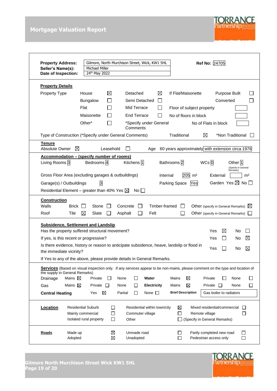# **Mortgage Valuation Report**



| <b>Property Address:</b><br>Seller's Name(s):<br>Date of Inspection:                                                                                                                                                                                                                                                                      | Gilmore, North Murchison Street, Wick, KW1 5HL<br><b>Michael Miller</b><br>24th May 2022 |                             |                                                                |                                           |                                                                          | Ref No: 24705                                                                        |                                                              |
|-------------------------------------------------------------------------------------------------------------------------------------------------------------------------------------------------------------------------------------------------------------------------------------------------------------------------------------------|------------------------------------------------------------------------------------------|-----------------------------|----------------------------------------------------------------|-------------------------------------------|--------------------------------------------------------------------------|--------------------------------------------------------------------------------------|--------------------------------------------------------------|
| <b>Property Details</b>                                                                                                                                                                                                                                                                                                                   |                                                                                          |                             |                                                                |                                           |                                                                          |                                                                                      |                                                              |
| Property Type                                                                                                                                                                                                                                                                                                                             | House<br>Bungalow<br>Flat<br>Maisonette                                                  | $\boxtimes$<br>$\mathbf{L}$ | Detached<br>Semi Detached<br>Mid Terrace<br><b>End Terrace</b> | ⊠<br>$\mathsf{L}$<br>$\blacksquare$<br>ΙI | If Flat/Maisonette<br>Floor of subject property<br>No of floors in block | Purpose Built<br>Converted                                                           |                                                              |
|                                                                                                                                                                                                                                                                                                                                           | Other*                                                                                   |                             | Comments                                                       | *Specify under General                    |                                                                          | No of Flats in block                                                                 |                                                              |
| Type of Construction (*Specify under General Comments)                                                                                                                                                                                                                                                                                    |                                                                                          |                             |                                                                |                                           | Traditional                                                              | ⊠<br>*Non Traditional                                                                |                                                              |
| <u>Tenure</u><br>Absolute Owner<br>⊠                                                                                                                                                                                                                                                                                                      |                                                                                          | Leasehold                   |                                                                | Age                                       |                                                                          | 60 years approximately with extension circa 1976                                     |                                                              |
| <u><b>Accommodation – (specify number of rooms)</b></u><br>Living Rooms 3<br>Gross Floor Area (excluding garages & outbuildings)<br>Garage(s) / Outbuildings<br>Residential Element – greater than 40% Yes $\boxtimes$                                                                                                                    | Bedrooms <sup>4</sup><br>$\overline{3}$                                                  |                             | Kitchens <sup>1</sup><br>No II                                 | Internal                                  | Bathrooms <sup>2</sup><br>205<br>m <sup>2</sup><br>Parking Space<br>Yes  | WCs <sub>0</sub><br>External<br>Garden Yes $\boxtimes$ No $\square$                  | Other 1<br>(Specify in General<br>Remarks)<br>m <sup>2</sup> |
| <b>Construction</b><br>Walls<br>Brick<br>Roof<br>Tile                                                                                                                                                                                                                                                                                     | Stone<br>$\perp$<br>⊠<br>Slate                                                           | Concrete<br>Asphalt         | ×.                                                             | Timber-framed<br>Felt                     | $\mathbf{I}$                                                             | Other (specify in General Remarks) $\boxtimes$<br>Other (specify in General Remarks) |                                                              |
| <b>Subsidence, Settlement and Landslip</b><br>Has the property suffered structural movement?<br>If yes, is this recent or progressive?<br>Is there evidence, history or reason to anticipate subsidence, heave, landslip or flood in<br>the immediate vicinity?<br>If Yes to any of the above, please provide details in General Remarks. |                                                                                          |                             |                                                                |                                           |                                                                          | Yes<br>⊠<br>Yes<br>Yes                                                               | No<br>⊠<br>No<br>$\boxtimes$<br>No                           |
| Services (Based on visual inspection only. If any services appear to be non-mains, please comment on the type and location of                                                                                                                                                                                                             |                                                                                          |                             |                                                                |                                           |                                                                          |                                                                                      |                                                              |
| the supply in General Remarks)<br>Mains $\boxtimes$<br>Drainage<br>Mains $\boxtimes$<br>Gas                                                                                                                                                                                                                                               | Private<br>П<br>Private                                                                  | None<br>$\Box$<br>None      | $\Box$<br>Ш                                                    | Water<br>Electricity                      | ⊠<br>Mains<br>⊠<br>Mains                                                 | Private<br>Private<br>$\perp$                                                        | None<br>L<br>□<br>None                                       |
| <b>Central Heating</b>                                                                                                                                                                                                                                                                                                                    | ⊠<br>Yes                                                                                 | Partial                     | $\Box$                                                         | None $\square$                            | <b>Brief Description</b>                                                 | Gas boiler to radiators                                                              |                                                              |
| Location                                                                                                                                                                                                                                                                                                                                  | <b>Residential Suburb</b><br>Mainly commercial<br>Isolated rural property                | $\Box$<br>$\Box$<br>$\Box$  | Commuter village<br>Other                                      | Residential within town/city              | ⊠<br>$\Box$                                                              | Mixed residential/commercial<br>Remote village<br>(Specify in General Remarks)       | $\Box$<br>□                                                  |
| Roads<br>Made up<br>Adopted                                                                                                                                                                                                                                                                                                               |                                                                                          | ⊠<br>⊠                      | Unmade road<br>Unadopted                                       |                                           | $\blacksquare$<br>□                                                      | Partly completed new road<br>Pedestrian access only                                  | ப<br>□                                                       |

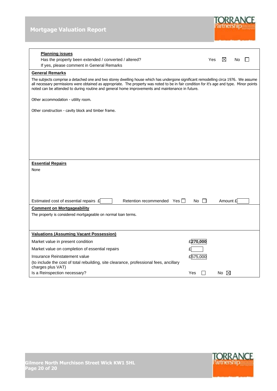

| <b>Planning issues</b><br>Has the property been extended / converted / altered?<br>If yes, please comment in General Remarks                                                                                                                                                                                                                                                           | Yes | ⊠              | No |  |
|----------------------------------------------------------------------------------------------------------------------------------------------------------------------------------------------------------------------------------------------------------------------------------------------------------------------------------------------------------------------------------------|-----|----------------|----|--|
| <b>General Remarks</b>                                                                                                                                                                                                                                                                                                                                                                 |     |                |    |  |
| The subjects comprise a detached one and two storey dwelling house which has undergone significant remodelling circa 1976. We assume<br>all necessary permissions were obtained as appropriate. The property was noted to be in fair condition for it's age and type. Minor points<br>noted can be attended to during routine and general home improvements and maintenance in future. |     |                |    |  |
| Other accommodation - utility room.                                                                                                                                                                                                                                                                                                                                                    |     |                |    |  |
| Other construction - cavity block and timber frame.                                                                                                                                                                                                                                                                                                                                    |     |                |    |  |
|                                                                                                                                                                                                                                                                                                                                                                                        |     |                |    |  |
|                                                                                                                                                                                                                                                                                                                                                                                        |     |                |    |  |
|                                                                                                                                                                                                                                                                                                                                                                                        |     |                |    |  |
|                                                                                                                                                                                                                                                                                                                                                                                        |     |                |    |  |
|                                                                                                                                                                                                                                                                                                                                                                                        |     |                |    |  |
|                                                                                                                                                                                                                                                                                                                                                                                        |     |                |    |  |
| <b>Essential Repairs</b>                                                                                                                                                                                                                                                                                                                                                               |     |                |    |  |
| None                                                                                                                                                                                                                                                                                                                                                                                   |     |                |    |  |
|                                                                                                                                                                                                                                                                                                                                                                                        |     |                |    |  |
|                                                                                                                                                                                                                                                                                                                                                                                        |     |                |    |  |
|                                                                                                                                                                                                                                                                                                                                                                                        |     |                |    |  |
| Estimated cost of essential repairs £<br>Retention recommended Yes    <br>$No$ $\Box$                                                                                                                                                                                                                                                                                                  |     | Amount £       |    |  |
| <b>Comment on Mortgageability</b>                                                                                                                                                                                                                                                                                                                                                      |     |                |    |  |
| The property is considered mortgageable on normal loan terms.                                                                                                                                                                                                                                                                                                                          |     |                |    |  |
|                                                                                                                                                                                                                                                                                                                                                                                        |     |                |    |  |
| <b>Valuations (Assuming Vacant Possession)</b>                                                                                                                                                                                                                                                                                                                                         |     |                |    |  |
| £270,000<br>Market value in present condition                                                                                                                                                                                                                                                                                                                                          |     |                |    |  |
| Market value on completion of essential repairs                                                                                                                                                                                                                                                                                                                                        |     |                |    |  |
| £575,000<br>Insurance Reinstatement value                                                                                                                                                                                                                                                                                                                                              |     |                |    |  |
| (to include the cost of total rebuilding, site clearance, professional fees, ancillary<br>charges plus VAT)                                                                                                                                                                                                                                                                            |     |                |    |  |
| Is a Reinspection necessary?<br>Yes                                                                                                                                                                                                                                                                                                                                                    |     | No $\boxtimes$ |    |  |

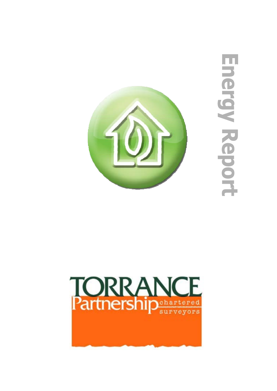

Energy Report

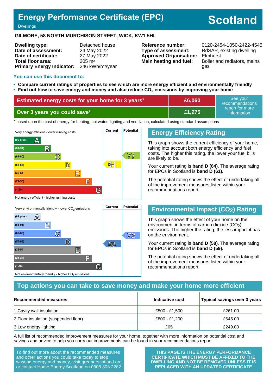# **Energy Performance Certificate (EPC)**

# **Scotland**

#### **Dwellings**

#### **GILMORE, 58 NORTH MURCHISON STREET, WICK, KW1 5HL**

| <b>Dwelling type:</b>            | Detached house               |
|----------------------------------|------------------------------|
| Date of assessment:              | 24 May 2022                  |
| Date of certificate:             | 27 May 2022                  |
| Total floor area:                | $205 \text{ m}^2$            |
| <b>Primary Energy Indicator:</b> | 246 kWh/m <sup>2</sup> /year |

**Type of assessment:** RdSAP, existing dwelling **Approved Organisation:** Elmhurst

**Reference number:** 0120-2454-1050-2422-4545 **Main heating and fuel:** Boiler and radiators, mains gas

#### **You can use this document to:**

- **Compare current ratings of properties to see which are more energy efficient and environmentally friendly**
- **Find out how to save energy and money and also reduce CO2 emissions by improving your home**

| <b>Estimated energy costs for your home for 3 years*</b> | £6,060 | See vour<br>recommendations    |  |
|----------------------------------------------------------|--------|--------------------------------|--|
| Over 3 years you could save*                             | £1.275 | report for more<br>information |  |

the based upon the cost of energy for heating, hot water, lighting and ventilation, calculated using standard assumptions



### **Energy Efficiency Rating**

This graph shows the current efficiency of your home, taking into account both energy efficiency and fuel costs. The higher this rating, the lower your fuel bills are likely to be.

Your current rating is **band D (64)**. The average rating for EPCs in Scotland is **band D (61).**

The potential rating shows the effect of undertaking all of the improvement measures listed within your recommendations report.

## **Environmental Impact (CO2) Rating**

This graph shows the effect of your home on the environment in terms of carbon dioxide  $(CO<sub>2</sub>)$ emissions. The higher the rating, the less impact it has on the environment.

Your current rating is **band D (58)**. The average rating for EPCs in Scotland is **band D (59).**

The potential rating shows the effect of undertaking all of the improvement measures listed within your recommendations report.

#### **Top actions you can take to save money and make your home more efficient**

| Recommended measures                 | Indicative cost | Typical savings over 3 years |
|--------------------------------------|-----------------|------------------------------|
| 1 Cavity wall insulation             | £500 - £1,500   | £261.00                      |
| 2 Floor insulation (suspended floor) | £800 - £1,200   | £645.00                      |
| 3 Low energy lighting                | £65             | £249.00                      |

A full list of recommended improvement measures for your home, together with more information on potential cost and savings and advice to help you carry out improvements can be found in your recommendations report.

To find out more about the recommended measures and other actions you could take today to stop wasting energy and money, visit greenerscotland.org or contact Home Energy Scotland on 0808 808 2282.

Not environmentally friendly - higher  $\mathrm{CO}_2$  emissions

**THIS PAGE IS THE ENERGY PERFORMANCE CERTIFICATE WHICH MUST BE AFFIXED TO THE DWELLING AND NOT BE REMOVED UNLESS IT IS REPLACED WITH AN UPDATED CERTIFICATE**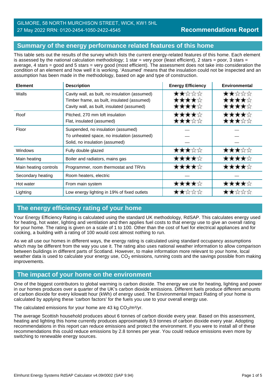## GILMORE, 58 NORTH MURCHISON STREET, WICK, KW1 5HL 27 May 2022 RRN: 0120-2454-1050-2422-4545

# **Summary of the energy performance related features of this home**

This table sets out the results of the survey which lists the current energy-related features of this home. Each element is assessed by the national calculation methodology; 1 star = very poor (least efficient), 2 stars = poor, 3 stars = average, 4 stars = good and 5 stars = very good (most efficient). The assessment does not take into consideration the condition of an element and how well it is working. 'Assumed' means that the insulation could not be inspected and an assumption has been made in the methodology, based on age and type of construction.

| <b>Element</b>        | <b>Description</b>                                                                                                                          | <b>Energy Efficiency</b> | <b>Environmental</b> |
|-----------------------|---------------------------------------------------------------------------------------------------------------------------------------------|--------------------------|----------------------|
| Walls                 | Cavity wall, as built, no insulation (assumed)<br>Timber frame, as built, insulated (assumed)<br>Cavity wall, as built, insulated (assumed) | トラン・マン ブレー               | セベーシーシー              |
| Roof                  | Pitched, 270 mm loft insulation<br>Flat, insulated (assumed)                                                                                | tir tir                  |                      |
| Floor                 | Suspended, no insulation (assumed)<br>To unheated space, no insulation (assumed)<br>Solid, no insulation (assumed)                          |                          |                      |
| <b>Windows</b>        | Fully double glazed                                                                                                                         |                          |                      |
| Main heating          | Boiler and radiators, mains gas                                                                                                             |                          |                      |
| Main heating controls | Programmer, room thermostat and TRVs                                                                                                        |                          |                      |
| Secondary heating     | Room heaters, electric                                                                                                                      |                          |                      |
| Hot water             | From main system                                                                                                                            |                          |                      |
| Lighting              | Low energy lighting in 19% of fixed outlets                                                                                                 |                          |                      |

# **The energy efficiency rating of your home**

Your Energy Efficiency Rating is calculated using the standard UK methodology, RdSAP. This calculates energy used for heating, hot water, lighting and ventilation and then applies fuel costs to that energy use to give an overall rating for your home. The rating is given on a scale of 1 to 100. Other than the cost of fuel for electrical appliances and for cooking, a building with a rating of 100 would cost almost nothing to run.

As we all use our homes in different ways, the energy rating is calculated using standard occupancy assumptions which may be different from the way you use it. The rating also uses national weather information to allow comparison between buildings in different parts of Scotland. However, to make information more relevant to your home, local weather data is used to calculate your energy use,  $CO<sub>2</sub>$  emissions, running costs and the savings possible from making improvements.

# **The impact of your home on the environment**

One of the biggest contributors to global warming is carbon dioxide. The energy we use for heating, lighting and power in our homes produces over a quarter of the UK's carbon dioxide emissions. Different fuels produce different amounts of carbon dioxide for every kilowatt hour (kWh) of energy used. The Environmental Impact Rating of your home is calculated by applying these 'carbon factors' for the fuels you use to your overall energy use.

The calculated emissions for your home are 43 kg  $CO<sub>2</sub>/m<sup>2</sup>/yr$ .

The average Scottish household produces about 6 tonnes of carbon dioxide every year. Based on this assessment, heating and lighting this home currently produces approximately 8.9 tonnes of carbon dioxide every year. Adopting recommendations in this report can reduce emissions and protect the environment. If you were to install all of these recommendations this could reduce emissions by 2.8 tonnes per year. You could reduce emissions even more by switching to renewable energy sources.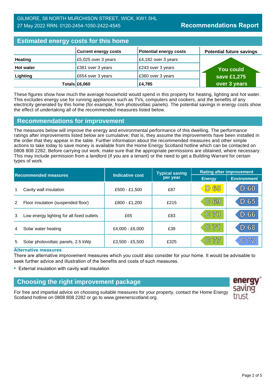| <b>Estimated energy costs for this home</b> |                             |                               |                                 |
|---------------------------------------------|-----------------------------|-------------------------------|---------------------------------|
|                                             | <b>Current energy costs</b> | <b>Potential energy costs</b> | <b>Potential future savings</b> |
| <b>Heating</b>                              | £5,025 over 3 years         | £4,182 over 3 years           |                                 |
| <b>Hot water</b>                            | £381 over 3 years           | £243 over 3 years             | You could                       |
| Lighting                                    | £654 over 3 years           | £360 over 3 years             | save £1,275                     |
|                                             | Totals $£6,060$             | £4,785                        | over 3 years                    |

These figures show how much the average household would spend in this property for heating, lighting and hot water. This excludes energy use for running appliances such as TVs, computers and cookers, and the benefits of any electricity generated by this home (for example, from photovoltaic panels). The potential savings in energy costs show the effect of undertaking all of the recommended measures listed below.

## **Recommendations for improvement**

The measures below will improve the energy and environmental performance of this dwelling. The performance ratings after improvements listed below are cumulative; that is, they assume the improvements have been installed in the order that they appear in the table. Further information about the recommended measures and other simple actions to take today to save money is available from the Home Energy Scotland hotline which can be contacted on 0808 808 2282. Before carrying out work, make sure that the appropriate permissions are obtained, where necessary. This may include permission from a landlord (if you are a tenant) or the need to get a Building Warrant for certain types of work.

| <b>Recommended measures</b> |                                           |                        | <b>Typical saving</b> | <b>Rating after improvement</b> |                    |
|-----------------------------|-------------------------------------------|------------------------|-----------------------|---------------------------------|--------------------|
|                             |                                           | <b>Indicative cost</b> | per year              | <b>Energy</b>                   | <b>Environment</b> |
| 1                           | Cavity wall insulation                    | £500 - £1,500          | £87                   | <b>D 65</b>                     | 60<br>ID)          |
| 2                           | Floor insulation (suspended floor)        | £800 - £1,200          | £215                  | C <sub>69</sub>                 | 65                 |
| 3                           | Low energy lighting for all fixed outlets | £65                    | £83                   | C 70                            | 66                 |
| 4                           | Solar water heating                       | £4,000 - £6,000        | £39                   | C <sub>71</sub>                 | 68                 |
| 5                           | Solar photovoltaic panels, 2.5 kWp        | £3,500 - £5,500        | £325                  | C 77                            | C72                |

#### **Alternative measures**

There are alternative improvement measures which you could also consider for your home. It would be advisable to seek further advice and illustration of the benefits and costs of such measures.

• External insulation with cavity wall insulation

# **Choosing the right improvement package**

For free and impartial advice on choosing suitable measures for your property, contact the Home Energy Scotland hotline on 0808 808 2282 or go to www.greenerscotland.org.

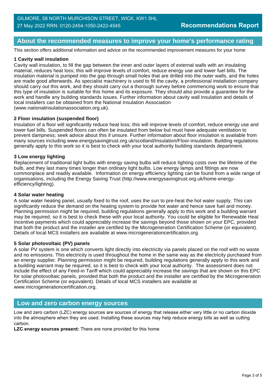## **About the recommended measures to improve your home's performance rating**

This section offers additional information and advice on the recommended improvement measures for your home

#### **1 Cavity wall insulation**

Cavity wall insulation, to fill the gap between the inner and outer layers of external walls with an insulating material, reduces heat loss; this will improve levels of comfort, reduce energy use and lower fuel bills. The insulation material is pumped into the gap through small holes that are drilled into the outer walls, and the holes are made good afterwards. As specialist machinery is used to fill the cavity, a professional installation company should carry out this work, and they should carry out a thorough survey before commencing work to ensure that this type of insulation is suitable for this home and its exposure. They should also provide a guarantee for the work and handle any building standards issues. Further information about cavity wall insulation and details of local installers can be obtained from the National Insulation Association (www.nationalinsulationassociation.org.uk).

#### **2 Floor insulation (suspended floor)**

Insulation of a floor will significantly reduce heat loss; this will improve levels of comfort, reduce energy use and lower fuel bills. Suspended floors can often be insulated from below but must have adequate ventilation to prevent dampness; seek advice about this if unsure. Further information about floor insulation is available from many sources including www.energysavingtrust.org.uk/scotland/Insulation/Floor-insulation. Building regulations generally apply to this work so it is best to check with your local authority building standards department.

#### **3 Low energy lighting**

Replacement of traditional light bulbs with energy saving bulbs will reduce lighting costs over the lifetime of the bulb, and they last many times longer than ordinary light bulbs. Low energy lamps and fittings are now commonplace and readily available. Information on energy efficiency lighting can be found from a wide range of organisations, including the Energy Saving Trust (http://www.energysavingtrust.org.uk/home-energyefficiency/lighting).

#### **4 Solar water heating**

A solar water heating panel, usually fixed to the roof, uses the sun to pre-heat the hot water supply. This can significantly reduce the demand on the heating system to provide hot water and hence save fuel and money. Planning permission might be required, building regulations generally apply to this work and a building warrant may be required, so it is best to check these with your local authority. You could be eligible for Renewable Heat Incentive payments which could appreciably increase the savings beyond those shown on your EPC, provided that both the product and the installer are certified by the Microgeneration Certification Scheme (or equivalent). Details of local MCS installers are available at www.microgenerationcertification.org.

#### **5 Solar photovoltaic (PV) panels**

A solar PV system is one which converts light directly into electricity via panels placed on the roof with no waste and no emissions. This electricity is used throughout the home in the same way as the electricity purchased from an energy supplier. Planning permission might be required, building regulations generally apply to this work and a building warrant may be required, so it is best to check with your local authority. The assessment does not include the effect of any Feed-in Tariff which could appreciably increase the savings that are shown on this EPC for solar photovoltaic panels, provided that both the product and the installer are certified by the Microgeneration Certification Scheme (or equivalent). Details of local MCS installers are available at www.microgenerationcertification.org.

#### **Low and zero carbon energy sources**

Low and zero carbon (LZC) energy sources are sources of energy that release either very little or no carbon dioxide into the atmosphere when they are used. Installing these sources may help reduce energy bills as well as cutting carbon.

**LZC energy sources present:** There are none provided for this home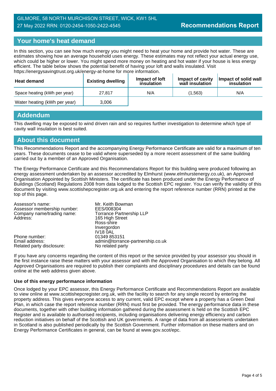## GILMORE, 58 NORTH MURCHISON STREET, WICK, KW1 5HL 27 May 2022 RRN: 0120-2454-1050-2422-4545

## **Your home's heat demand**

In this section, you can see how much energy you might need to heat your home and provide hot water. These are estimates showing how an average household uses energy. These estimates may not reflect your actual energy use, which could be higher or lower. You might spend more money on heating and hot water if your house is less energy efficient. The table below shows the potential benefit of having your loft and walls insulated. Visit https://energysavingtrust.org.uk/energy-at-home for more information.

| Heat demand                  | <b>Existing dwelling</b> | Impact of loft<br>insulation | Impact of cavity<br>wall insulation | Impact of solid wall<br>insulation |
|------------------------------|--------------------------|------------------------------|-------------------------------------|------------------------------------|
| Space heating (kWh per year) | 27.817                   | N/A                          | (1.563)                             | N/A                                |
| Water heating (kWh per year) | 3,006                    |                              |                                     |                                    |

## **Addendum**

This dwelling may be exposed to wind driven rain and so requires further investigation to determine which type of cavity wall insulation is best suited.

## **About this document**

This Recommendations Report and the accompanying Energy Performance Certificate are valid for a maximum of ten years. These documents cease to be valid where superseded by a more recent assessment of the same building carried out by a member of an Approved Organisation.

The Energy Performance Certificate and this Recommendations Report for this building were produced following an energy assessment undertaken by an assessor accredited by Elmhurst (www.elmhurstenergy.co.uk), an Approved Organisation Appointed by Scottish Ministers. The certificate has been produced under the Energy Performance of Buildings (Scotland) Regulations 2008 from data lodged to the Scottish EPC register. You can verify the validity of this document by visiting www.scottishepcregister.org.uk and entering the report reference number (RRN) printed at the top of this page.

| Assessor's name:            | Mr. Keith Bowman                 |
|-----------------------------|----------------------------------|
| Assessor membership number: | EES/008304                       |
| Company name/trading name:  | <b>Torrance Partnership LLP</b>  |
| Address:                    | 165 High Street                  |
|                             | Ross-shire                       |
|                             | Invergordon                      |
|                             | <b>IV18 0AL</b>                  |
| Phone number:               | 01349 853151                     |
| Email address:              | admin@torrance-partnership.co.uk |
| Related party disclosure:   | No related party                 |

If you have any concerns regarding the content of this report or the service provided by your assessor you should in the first instance raise these matters with your assessor and with the Approved Organisation to which they belong. All Approved Organisations are required to publish their complaints and disciplinary procedures and details can be found online at the web address given above.

#### **Use of this energy performance information**

Once lodged by your EPC assessor, this Energy Performance Certificate and Recommendations Report are available to view online at www.scottishepcregister.org.uk, with the facility to search for any single record by entering the property address. This gives everyone access to any current, valid EPC except where a property has a Green Deal Plan, in which case the report reference number (RRN) must first be provided. The energy performance data in these documents, together with other building information gathered during the assessment is held on the Scottish EPC Register and is available to authorised recipients, including organisations delivering energy efficiency and carbon reduction initiatives on behalf of the Scottish and UK governments. A range of data from all assessments undertaken in Scotland is also published periodically by the Scottish Government. Further information on these matters and on Energy Performance Certificates in general, can be found at www.gov.scot/epc.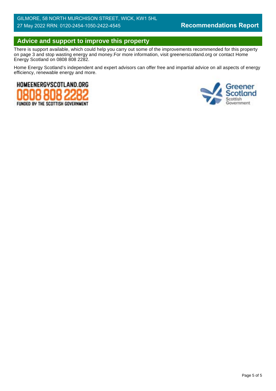# **Advice and support to improve this property**

There is support available, which could help you carry out some of the improvements recommended for this property on page 3 and stop wasting energy and money.For more information, visit greenerscotland.org or contact Home Energy Scotland on 0808 808 2282.

Home Energy Scotland's independent and expert advisors can offer free and impartial advice on all aspects of energy efficiency, renewable energy and more.



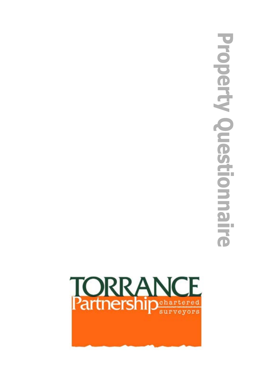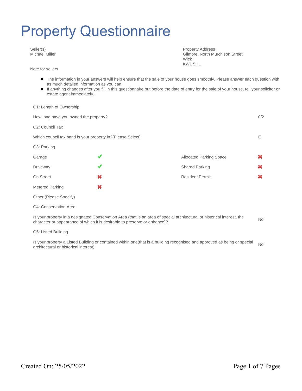Seller(s) Michael Miller

Note for sellers

Property Address Gilmore, North Murchison Street **Wick** KW1 5HL

- The information in your answers will help ensure that the sale of your house goes smoothly. Please answer each question with as much detailed information as you can.
- If anything changes after you fill in this questionnaire but before the date of entry for the sale of your house, tell your solicitor or estate agent immediately.

#### Q1: Length of Ownership

| How long have you owned the property? |                                                             |                                | 0/2 |
|---------------------------------------|-------------------------------------------------------------|--------------------------------|-----|
| Q2: Council Tax                       |                                                             |                                |     |
|                                       | Which council tax band is your property in? (Please Select) |                                | Ε   |
| Q3: Parking                           |                                                             |                                |     |
| Garage                                |                                                             | <b>Allocated Parking Space</b> |     |
| Driveway                              |                                                             | <b>Shared Parking</b>          | ×   |
| On Street                             | ×                                                           | <b>Resident Permit</b>         | ×   |
| Metered Parking                       | ×                                                           |                                |     |
| Other (Please Specify)                |                                                             |                                |     |
| Q4: Conservation Area                 |                                                             |                                |     |

Is your property in a designated Conservation Area (that is an area of special architectural or historical interest, the character or appearance of which it is desirable to preserve or enhance)?

Q5: Listed Building

Is your property a Listed Building or contained within one(that is a building recognised and approved as being or special No<br>architectural or historical interest)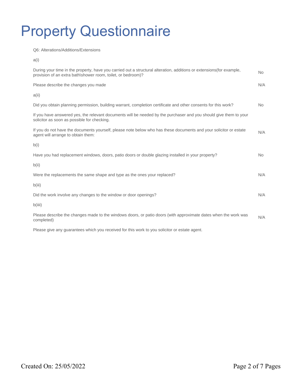Q6: Alterations/Additions/Extensions

| ٧ |  |  |
|---|--|--|
|   |  |  |

| During your time in the property, have you carried out a structural alteration, additions or extensions (for example,<br>provision of an extra bath\shower room, toilet, or bedroom)? | <b>No</b> |
|---------------------------------------------------------------------------------------------------------------------------------------------------------------------------------------|-----------|
| Please describe the changes you made                                                                                                                                                  | N/A       |
| a(i)                                                                                                                                                                                  |           |
| Did you obtain planning permission, building warrant, completion certificate and other consents for this work?                                                                        | No.       |
| If you have answered yes, the relevant documents will be needed by the purchaser and you should give them to your<br>solicitor as soon as possible for checking.                      |           |
| If you do not have the documents yourself, please note below who has these documents and your solicitor or estate<br>agent will arrange to obtain them:                               | N/A       |
| b(i)                                                                                                                                                                                  |           |
| Have you had replacement windows, doors, patio doors or double glazing installed in your property?                                                                                    | No.       |
| b(ii)                                                                                                                                                                                 |           |
| Were the replacements the same shape and type as the ones your replaced?                                                                                                              | N/A       |
| b(iii)                                                                                                                                                                                |           |
| Did the work involve any changes to the window or door openings?                                                                                                                      | N/A       |
| b(iii)                                                                                                                                                                                |           |
| Please describe the changes made to the windows doors, or patio doors (with approximate dates when the work was<br>completed)                                                         | N/A       |

Please give any guarantees which you received for this work to you solicitor or estate agent.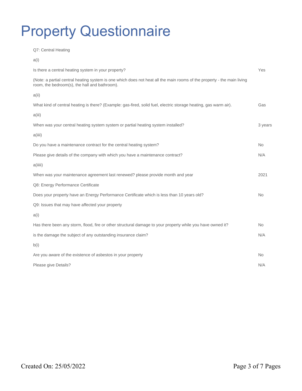Q7: Central Heating

a(i) Is there a central heating system in your property? Yes (Note: a partial central heating system is one which does not heat all the main rooms of the property - the main living room, the bedroom(s), the hall and bathroom). a(ii) What kind of central heating is there? (Example: gas-fired, solid fuel, electric storage heating, gas warm air). Gas a(iii) When was your central heating system system or partial heating system installed? 3 years 3 years a(iiii) Do you have a maintenance contract for the central heating system? No work of the state of the No Please give details of the company with which you have a maintenance contract? N/A a(iiiii) When was your maintenance agreement last renewed? please provide month and year 2021 Q8: Energy Performance Certificate Does your property have an Energy Performance Certificate which is less than 10 years old? No Q9: Issues that may have affected your property a(i) Has there been any storm, flood, fire or other structural damage to your property while you have owned it? No is the damage the subject of any outstanding insurance claim? N/A b(i) Are you aware of the existence of asbestos in your property No was also as a set of the existence of asbestos in your property Please give Details? N/A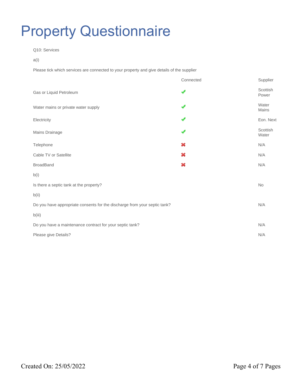#### Q10: Services

a(i)

Please tick which services are connected to your property and give details of the supplier

|                                                                           | Connected | Supplier          |
|---------------------------------------------------------------------------|-----------|-------------------|
| Gas or Liquid Petroleum                                                   |           | Scottish<br>Power |
| Water mains or private water supply                                       |           | Water<br>Mains    |
| Electricity                                                               |           | Eon. Next         |
| Mains Drainage                                                            |           | Scottish<br>Water |
| Telephone                                                                 | ×         | N/A               |
| Cable TV or Satellite                                                     | ×         | N/A               |
| <b>BroadBand</b>                                                          | ×         | N/A               |
| b(i)                                                                      |           |                   |
| Is there a septic tank at the property?                                   |           | <b>No</b>         |
| b(ii)                                                                     |           |                   |
| Do you have appropriate consents for the discharge from your septic tank? |           | N/A               |
| b(iii)                                                                    |           |                   |
| Do you have a maintenance contract for your septic tank?                  |           | N/A               |
| Please give Details?                                                      |           | N/A               |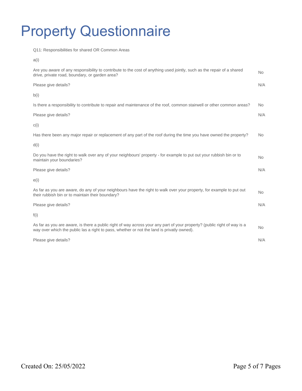Q11: Responsibilities for shared OR Common Areas

a(i)

| Are you aware of any responsibility to contribute to the cost of anything used jointly, such as the repair of a shared<br>drive, private road, boundary, or garden area?                                               | <b>No</b> |
|------------------------------------------------------------------------------------------------------------------------------------------------------------------------------------------------------------------------|-----------|
| Please give details?                                                                                                                                                                                                   | N/A       |
| b(i)                                                                                                                                                                                                                   |           |
| Is there a responsibility to contribute to repair and maintenance of the roof, common stairwell or other common areas?                                                                                                 | No.       |
| Please give details?                                                                                                                                                                                                   | N/A       |
| c(i)                                                                                                                                                                                                                   |           |
| Has there been any major repair or replacement of any part of the roof during the time you have owned the property?                                                                                                    | No.       |
| d(i)                                                                                                                                                                                                                   |           |
| Do you have the right to walk over any of your neighbours' property - for example to put out your rubbish bin or to<br>maintain your boundaries?                                                                       | <b>No</b> |
| Please give details?                                                                                                                                                                                                   | N/A       |
| e(i)                                                                                                                                                                                                                   |           |
| As far as you are aware, do any of your neighbours have the right to walk over your property, for example to put out<br>their rubbish bin or to maintain their boundary?                                               | <b>No</b> |
| Please give details?                                                                                                                                                                                                   | N/A       |
| f(i)                                                                                                                                                                                                                   |           |
| As far as you are aware, is there a public right of way across your any part of your property? (public right of way is a<br>way over which the public las a right to pass, whether or not the land is privatly owned). | <b>No</b> |
| Please give details?                                                                                                                                                                                                   | N/A       |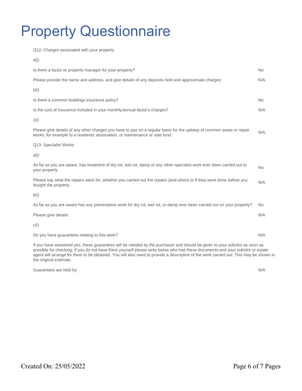Q12: Charges associated with your property a(i) Is there a factor or property manager for your property? No was a set of the state of the state of the No was not the No Please provide the name and address, and give details of any deposits held and approximate charges: N/A b(i) Is there a common buildings insurance policy? No was a statement of the statement of the statement of the statement of the statement of the statement of the statement of the statement of the statement of the statement of t Is the cost of insurance included in your monthly/annual factor's charges? N/A c(i) Please give details of any other charges you have to pay on a regular basis for the upkeep of common areas or repair Prease give details of any other charges you have to pay on a regular basis for the upkeep of common areas or repair  $N/A$ <br>works, for example to a residents' association, or maintenance or stair fund. Q13: Specialist Works a(i) As far as you are aware, has treatment of dry rot, wet rot, damp or any other specialist work ever been carried out to Mo<br>your property Please say what the repairs were for, whether you carried out the repairs (and when) or if they were done before you bought the property. N/A b(i) As far as you are aware has any preventative work for dry rot, wet rot, or damp ever been carried out on your property? No Please give details: N/A c(i) Do you have guarantees relating to this work? N/A If you have answered yes, these guarantees will be needed by the purchaser and should be given to your solicitor as soon as

possible for checking. If you do not have them yourself please write below who has these documents and your solicitor or estate agent will arrange for them to be obtained. You will also need to provide a description of the work carried out. This may be shown in the original estimate.

Guarantees are held by: N/A